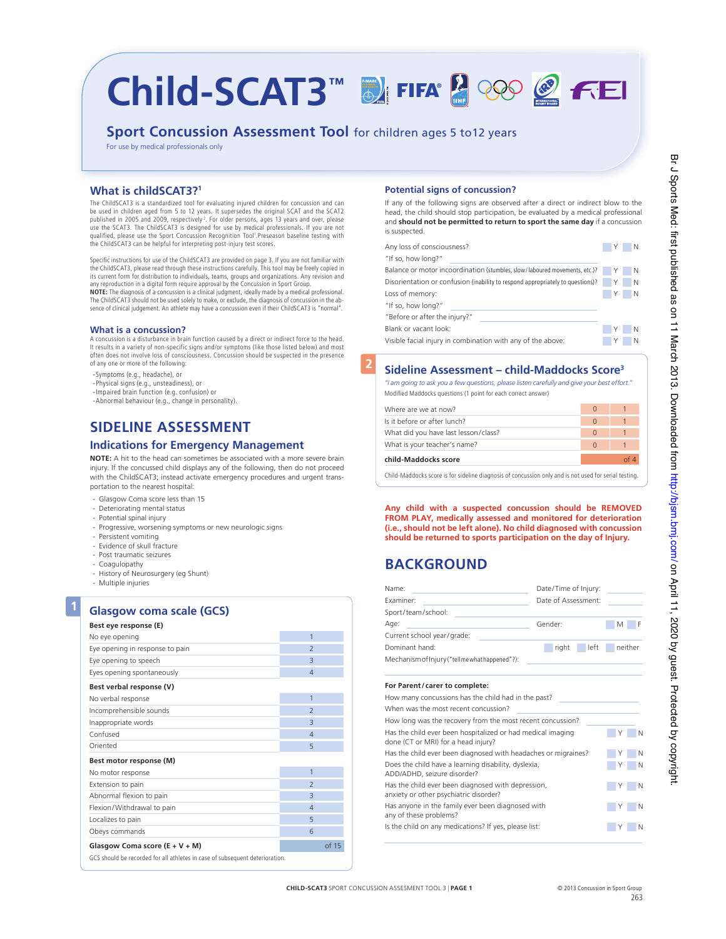# Child-SCAT3™ **DIFIFA®** © FEI

# **Sport Concussion Assessment Tool** for children ages 5 to12 years

For use by medical professionals only

# **What is childSCAT3?1**

The ChildSCAT3 is a standardized tool for evaluating injured children for concussion and can be used in children aged from 5 to 12 years. It supersedes the original SCAT and the SCAT2<br>published in 2005 and 2009, respectively?. For older persons, ages 13 years and over, please use the SCAT3. The ChildSCAT3 is designed for use by medical professionals. If you are not qualified, please use the Sport Concussion Recognition Tool1 .Preseason baseline testing with the ChildSCAT3 can be helpful for interpreting post-injury test scores.

Specific instructions for use of the ChildSCAT3 are provided on page 3. If you are not familiar with the ChildSCAT3, please read through these instructions carefully. This tool may be freely copied in its current form for distribution to individuals, teams, groups and organizations. Any revision and any reproduction in a digital form require approval by the Concussion in Sport Group

**NOTE:** The diagnosis of a concussion is a clinical judgment, ideally made by a medical professional. The ChildSCAT3 should not be used solely to make, or exclude, the diagnosis of concussion in the absence of clinical judgement. An athlete may have a concussion even if their ChildSCAT3 is "normal".

# **What is a concussion?**

A concussion is a disturbance in brain function caused by a direct or indirect force to the head. It results in a variety of non-specific signs and/or symptoms (like those listed below) and most often does not involve loss of consciousness. Concussion should be suspected in the presence of any one or more of the following:

- -Symptoms (e.g., headache), or
- -Physical signs (e.g., unsteadiness), or -Impaired brain function (e.g. confusion) or
- 
- -Abnormal behaviour (e.g., change in personality).

# **SIDeLIne ASSeSSmenT**

# **Indications for Emergency Management**

**noTe:** A hit to the head can sometimes be associated with a more severe brain injury. if the concussed child displays any of the following, then do not proceed with the ChildSCAT3; instead activate emergency procedures and urgent transportation to the nearest hospital:

- Glasgow Coma score less than 15
- Deteriorating mental status
- potential spinal injury
- progressive, worsening symptoms or new neurologic signs
- persistent vomiting
- Evidence of skull fracture
- post traumatic seizures
- Coagulopathy
- History of Neurosurgery (eg Shunt)
- multiple injuries

**1**

# **glasgow coma scale (gCS)**

| Best eye response (E)                                                        |                          |
|------------------------------------------------------------------------------|--------------------------|
| No eye opening                                                               | 1                        |
| Eye opening in response to pain                                              | $\overline{\phantom{0}}$ |
| Eye opening to speech                                                        | $\overline{3}$           |
| Eyes opening spontaneously                                                   | $\overline{4}$           |
| Best verbal response (V)                                                     |                          |
| No verbal response                                                           | 1                        |
| Incomprehensible sounds                                                      | $\overline{\phantom{0}}$ |
| Inappropriate words                                                          | $\overline{3}$           |
| Confused                                                                     | $\overline{4}$           |
| Oriented                                                                     | 5                        |
| Best motor response (M)                                                      |                          |
| No motor response                                                            | $\overline{1}$           |
| Extension to pain                                                            | $\overline{\phantom{0}}$ |
| Abnormal flexion to pain                                                     | $\overline{3}$           |
| Flexion/Withdrawal to pain                                                   | $\overline{4}$           |
| Localizes to pain                                                            | 5                        |
| Obeys commands                                                               | 6                        |
| Glasgow Coma score $(E + V + M)$                                             | of 15                    |
| GCS should be recorded for all athletes in case of subsequent deterioration. |                          |

# **Potential signs of concussion?**

If any of the following signs are observed after a direct or indirect blow to the head, the child should stop participation, be evaluated by a medical professional and **should not be permitted to return to sport the same day** if a concussion is suspected

| Any loss of consciousness?                                                     | IY.          | <b>N</b> |
|--------------------------------------------------------------------------------|--------------|----------|
| "If so, how long?"                                                             |              |          |
| Balance or motor incoordination (stumbles, slow/laboured movements, etc.)?     | $\mathsf{Y}$ | N        |
| Disorientation or confusion (inability to respond appropriately to questions)? | 4Y.          | <b>N</b> |
| Loss of memory:                                                                |              | <b>N</b> |
| "If so, how long?"                                                             |              |          |
| "Before or after the injury?"                                                  |              |          |
| Blank or vacant look:                                                          |              | N        |
| Visible facial injury in combination with any of the above:                    |              | N        |
|                                                                                |              |          |

# **2 Sideline Assessment – child-maddocks Score3**

*"I am going to ask you a few questions, please listen carefully and give your best effort."*

| Modified Maddocks questions (1 point for each correct answer) |  |
|---------------------------------------------------------------|--|
|---------------------------------------------------------------|--|

| child-Maddocks score                 |          |  |
|--------------------------------------|----------|--|
| What is your teacher's name?         | $\Omega$ |  |
| What did you have last lesson/class? |          |  |
| Is it before or after lunch?         | n        |  |
| Where are we at now?                 | $\Omega$ |  |

Child-Maddocks score is for sideline diagnosis of concussion only and is not used for serial testing.

**Any child with a suspected concussion should be RemoveD FRom PLAy, medically assessed and monitored for deterioration (i.e., should not be left alone). No child diagnosed with concussion should be returned to sports participation on the day of Injury.** 

# **BACKGROUND**

| Name:<br><b>Examiner:</b><br>Sport/team/school:                                                    | Date/Time of Injury:<br>Date of Assessment: |   |         |  |
|----------------------------------------------------------------------------------------------------|---------------------------------------------|---|---------|--|
| Age:                                                                                               | Gender:                                     | M | F       |  |
| Current school year/grade:                                                                         |                                             |   |         |  |
| Dominant hand:                                                                                     | right<br>left                               |   | neither |  |
| Mechanism of Injury ("tell me what happened"?):                                                    |                                             |   |         |  |
| For Parent/carer to complete:                                                                      |                                             |   |         |  |
| How many concussions has the child had in the past?                                                |                                             |   |         |  |
| When was the most recent concussion?                                                               |                                             |   |         |  |
| How long was the recovery from the most recent concussion?                                         |                                             |   |         |  |
| Has the child ever been hospitalized or had medical imaging<br>done (CT or MRI) for a head injury? |                                             |   | N       |  |
| Has the child ever been diagnosed with headaches or migraines?                                     |                                             |   | N       |  |
| Does the child have a learning disability, dyslexia,<br>ADD/ADHD, seizure disorder?                |                                             |   | N       |  |
| Has the child ever been diagnosed with depression,<br>anxiety or other psychiatric disorder?       |                                             |   | Ν       |  |
| Has anyone in the family ever been diagnosed with<br>any of these problems?                        |                                             |   | N       |  |
| Is the child on any medications? If yes, please list:                                              |                                             | Y | N       |  |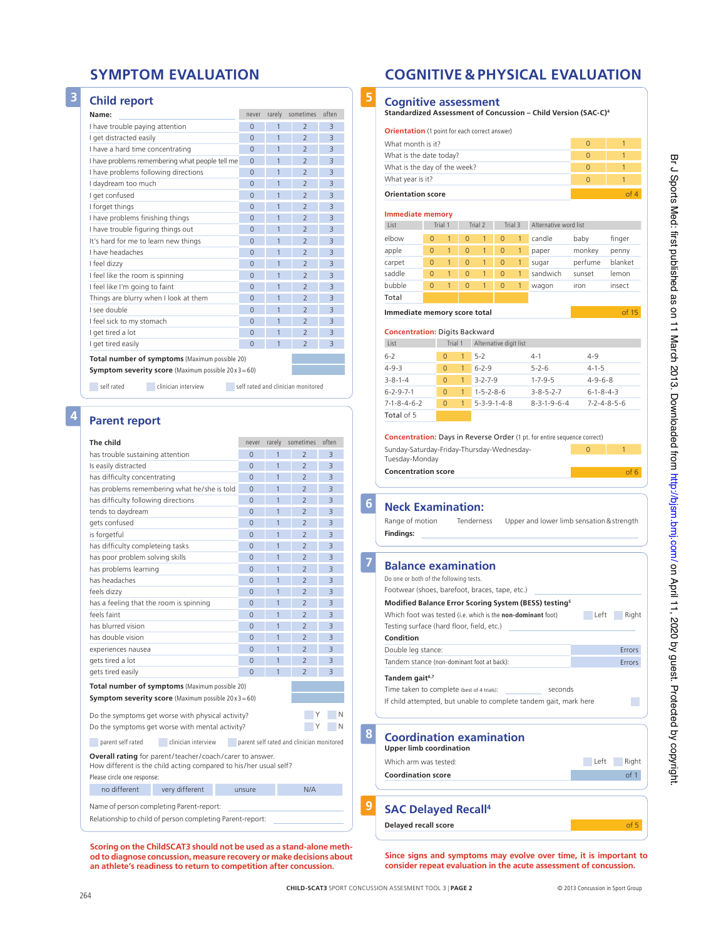# **3 Child report**

| Name:                                |                                                               | never    | rarely         | sometimes                          | often          |
|--------------------------------------|---------------------------------------------------------------|----------|----------------|------------------------------------|----------------|
| I have trouble paying attention      |                                                               | $\Omega$ | 1              | $\overline{\phantom{0}}$           | $\overline{3}$ |
| I get distracted easily              |                                                               | $\Omega$ | 1              | $\overline{\phantom{0}}$           | 3              |
| I have a hard time concentrating     |                                                               | $\Omega$ | 1              | $\overline{\phantom{0}}$           | 3              |
|                                      | I have problems remembering what people tell me               | $\Omega$ | 1              | $\overline{\phantom{0}}$           | 3              |
| I have problems following directions |                                                               | $\Omega$ | $\overline{1}$ | $\overline{\phantom{0}}$           | $\overline{3}$ |
| I daydream too much                  |                                                               | $\Omega$ | $\mathbf{1}$   | $\overline{\phantom{0}}$           | 3              |
| I get confused                       |                                                               | $\Omega$ | $\mathbf{1}$   | $\overline{\phantom{0}}$           | 3              |
| I forget things                      |                                                               | $\Omega$ | 1              | $\overline{\phantom{0}}$           | 3              |
| I have problems finishing things     |                                                               | $\Omega$ | 1              | $\overline{\phantom{0}}$           | $\overline{3}$ |
| I have trouble figuring things out   |                                                               | $\Omega$ | 1              | $\overline{\phantom{0}}$           | 3              |
| It's hard for me to learn new things |                                                               | $\Omega$ | 1              | $\overline{\phantom{0}}$           | 3              |
| I have headaches                     |                                                               | $\Omega$ | 1              | $\overline{\phantom{0}}$           | 3              |
| I feel dizzy                         |                                                               | $\Omega$ | 1              | $\overline{\phantom{0}}$           | $\overline{3}$ |
| I feel like the room is spinning     |                                                               | $\Omega$ | 1              | $\overline{\phantom{0}}$           | 3              |
| I feel like I'm going to faint       |                                                               | $\Omega$ | 1              | $\overline{\phantom{0}}$           | $\overline{3}$ |
|                                      | Things are blurry when I look at them                         | $\Omega$ | 1              | $\overline{\phantom{0}}$           | $\overline{3}$ |
| I see double                         |                                                               | $\Omega$ | 1              | $\overline{\phantom{0}}$           | $\overline{3}$ |
| I feel sick to my stomach            |                                                               | $\Omega$ | 1              | $\overline{\phantom{0}}$           | $\overline{3}$ |
| I get tired a lot                    |                                                               | $\Omega$ | 1              | $\overline{\phantom{0}}$           | $\overline{3}$ |
| I get tired easily                   |                                                               | $\Omega$ | 1              | $\overline{\phantom{0}}$           | $\overline{3}$ |
|                                      | Total number of symptoms (Maximum possible 20)                |          |                |                                    |                |
|                                      | <b>Symptom severity score</b> (Maximum possible $20x3 = 60$ ) |          |                |                                    |                |
|                                      |                                                               |          |                |                                    |                |
| self rated                           | clinician interview                                           |          |                | self rated and clinician monitored |                |

**4 Parent report** 

# **The child never** rarely sometimes often has trouble sustaining attention 0 2 3 is easily distracted a set of the contracted by the contracted by the contracted by the contracted by the contracted by  $\sim$  0  $\sim$  1  $\sim$  2  $\sim$ has difficulty concentrating and the contraction of the contraction of the contraction of the contraction of the contraction of the contraction of the contraction of the contraction of the contraction of the contraction of has problems remembering what he/she is told 0 1 2 has difficulty following directions 0 2 3 tends to daydream 0 0 1 2 3 gets confused 0 2 3 is forgetful 0123 has difficulty completeing tasks 01233 has poor problem solving skills **0** 2 3 has problems learning 1 2 3 has headaches 0123 feels dizzy 0 1 2 has a feeling that the room is spinning  $\begin{array}{|c|c|c|c|c|c|c|c|c|} \hline 0 & 1 & 2 \end{array}$ Feels faint 0 1 2 3 has blurred vision<br>
and the contract of the contract of the contract of the contract of the contract of the contract of the contract of the contract of the contract of the contract of the contract of the contract of the co has double vision  $\begin{array}{cccc} 0 & 1 & 2 & 3 \end{array}$ experiences nausea and the contract of the contract of the contract of the contract of the contract of the contract of the contract of the contract of the contract of the contract of the contract of the contract of the con gets tired a lot and the contract of the contract of the contract of the contract of the contract of the contract of the contract of the contract of the contract of the contract of the contract of the contract of the contr gets tired easily and the contract of the contract of the contract of the contract of the contract of the contract of the contract of the contract of the contract of the contract of the contract of the contract of the cont **Total number of symptoms** (Maximum possible 20) **Symptom severity score** (Maximum possible 20 x 3 = 60) Do the symptoms get worse with physical activity?  $\begin{array}{ccc}\nY & N\n\end{array}$ Do the symptoms get worse with mental activity?  $\begin{array}{ccc}\n & \text{Y} & \text{N} \\
\end{array}$ parent self rated clinician interview parent self rated and clinician monitored **overall rating** for parent/teacher/ coach/ carer to answer. How different is the child acting compared to his/her usual self? Please circle one response: no different very different unsure N/A Name of person completing Parent-report: Relationship to child of person completing Parent-report:

**Scoring on the ChildSCAT3 should not be used as a stand-alone method to diagnose concussion, measure recovery or make decisions about an athlete's readiness to return to competition after concussion.**

# **SymPTom evALuATIon CognITIve & PHySICAL evALuATIon**

# **5 Cognitive assessment**

**orientation** (1 point for each correct answer)

**Standardized Assessment of Concussion – Child version (SAC-C)4**

| What is the date today?<br>What is the day of the week?                                                                                                                                                                                                                                                                                                                                         |                |                |                |                         |                |              |                                                                                                                                                   |                     | $\mathbf{1}$              |
|-------------------------------------------------------------------------------------------------------------------------------------------------------------------------------------------------------------------------------------------------------------------------------------------------------------------------------------------------------------------------------------------------|----------------|----------------|----------------|-------------------------|----------------|--------------|---------------------------------------------------------------------------------------------------------------------------------------------------|---------------------|---------------------------|
|                                                                                                                                                                                                                                                                                                                                                                                                 |                |                |                |                         |                |              |                                                                                                                                                   | $\overline{0}$      |                           |
|                                                                                                                                                                                                                                                                                                                                                                                                 |                |                |                |                         |                |              |                                                                                                                                                   | $\overline{0}$      | 1                         |
| What year is it?                                                                                                                                                                                                                                                                                                                                                                                |                |                |                |                         |                |              |                                                                                                                                                   | $\Omega$            | $\mathbf{1}$              |
| <b>Orientation score</b>                                                                                                                                                                                                                                                                                                                                                                        |                |                |                |                         |                |              |                                                                                                                                                   |                     | of 4                      |
| <b>Immediate memory</b>                                                                                                                                                                                                                                                                                                                                                                         |                |                |                |                         |                |              |                                                                                                                                                   |                     |                           |
| List                                                                                                                                                                                                                                                                                                                                                                                            |                | Trial 1        |                | Trial 2                 |                | Trial 3      | Alternative word list                                                                                                                             |                     |                           |
| elbow                                                                                                                                                                                                                                                                                                                                                                                           | $\overline{0}$ | 1              | $\overline{0}$ | 1                       | $\overline{0}$ | $\mathbf{1}$ | candle                                                                                                                                            | baby                | finger                    |
| apple                                                                                                                                                                                                                                                                                                                                                                                           | $\Omega$       | 1              | $\Omega$       | $\mathbf{1}$            | $\overline{0}$ | 1            | paper                                                                                                                                             | monkey              | penny                     |
| carpet                                                                                                                                                                                                                                                                                                                                                                                          | $\overline{0}$ | 1              | 0              | 1                       | $\overline{0}$ | $\mathbf{1}$ | sugar                                                                                                                                             | perfume             | blanket                   |
| saddle                                                                                                                                                                                                                                                                                                                                                                                          | $\Omega$       | 1              | $\overline{0}$ | $\mathbf{1}$            | $\overline{0}$ | $\mathbf{1}$ | sandwich                                                                                                                                          | sunset              | lemon                     |
| bubble                                                                                                                                                                                                                                                                                                                                                                                          | $\Omega$       | 1              | $\Omega$       | 1                       | $\Omega$       | 1            | wagon                                                                                                                                             | iron                | insect                    |
| Total                                                                                                                                                                                                                                                                                                                                                                                           |                |                |                |                         |                |              |                                                                                                                                                   |                     |                           |
| Immediate memory score total                                                                                                                                                                                                                                                                                                                                                                    |                |                |                |                         |                |              |                                                                                                                                                   |                     | of 15                     |
|                                                                                                                                                                                                                                                                                                                                                                                                 |                |                |                |                         |                |              |                                                                                                                                                   |                     |                           |
| <b>Concentration: Digits Backward</b>                                                                                                                                                                                                                                                                                                                                                           |                |                |                |                         |                |              |                                                                                                                                                   |                     |                           |
| List                                                                                                                                                                                                                                                                                                                                                                                            |                | Trial 1        |                | Alternative digit list  |                |              |                                                                                                                                                   |                     |                           |
| $6 - 2$                                                                                                                                                                                                                                                                                                                                                                                         |                | $\Omega$       | 1              | $5 - 2$                 |                |              | $4 - 1$                                                                                                                                           | $4 - 9$             |                           |
| $4 - 9 - 3$                                                                                                                                                                                                                                                                                                                                                                                     |                | $\overline{0}$ | $\mathbf{1}$   | $6 - 2 - 9$             |                |              | $5 - 2 - 6$                                                                                                                                       | $4 - 1 - 5$         |                           |
| $3 - 8 - 1 - 4$                                                                                                                                                                                                                                                                                                                                                                                 |                | $\Omega$       | $\mathbf{1}$   | $3 - 2 - 7 - 9$         |                |              | $1 - 7 - 9 - 5$                                                                                                                                   | $4 - 9 - 6 - 8$     |                           |
| $6 - 2 - 9 - 7 - 1$                                                                                                                                                                                                                                                                                                                                                                             |                | $\overline{0}$ | $\mathbf{1}$   | $1 - 5 - 2 - 8 - 6$     |                |              | $3 - 8 - 5 - 2 - 7$                                                                                                                               | $6 - 1 - 8 - 4 - 3$ |                           |
| $7 - 1 - 8 - 4 - 6 - 2$<br>Total of 5                                                                                                                                                                                                                                                                                                                                                           |                | $\overline{0}$ | $\mathbf{1}$   | $5 - 3 - 9 - 1 - 4 - 8$ |                |              | $8 - 3 - 1 - 9 - 6 - 4$                                                                                                                           |                     | $7 - 2 - 4 - 8 - 5 - 6$   |
| <b>Concentration score</b><br><b>Neck Examination:</b>                                                                                                                                                                                                                                                                                                                                          |                | Tuesday-Monday |                |                         |                |              | Sunday-Saturday-Friday-Thursday-Wednesday-                                                                                                        |                     | of 6                      |
| Range of motion<br><b>Findings:</b>                                                                                                                                                                                                                                                                                                                                                             |                |                |                | Tenderness              |                |              | Upper and lower limb sensation & strength                                                                                                         |                     |                           |
| <b>Balance examination</b><br>Do one or both of the following tests.<br>Footwear (shoes, barefoot, braces, tape, etc.)<br>Which foot was tested (i.e. which is the non-dominant foot)<br>Testing surface (hard floor, field, etc.)<br>Condition<br>Double leg stance:<br>Tandem stance (non-dominant foot at back):<br>Tandem gait <sup>6,7</sup><br>Time taken to complete (best of 4 trials): |                |                |                |                         |                |              | Modified Balance Error Scoring System (BESS) testing <sup>5</sup><br>seconds<br>If child attempted, but unable to complete tandem gait, mark here | Left                | Right<br>Errors<br>Errors |

**Delayed recall score of 5** 

**Since signs and symptoms may evolve over time, it is important to consider repeat evaluation in the acute assessment of concussion.**

**8**

**6**

**7**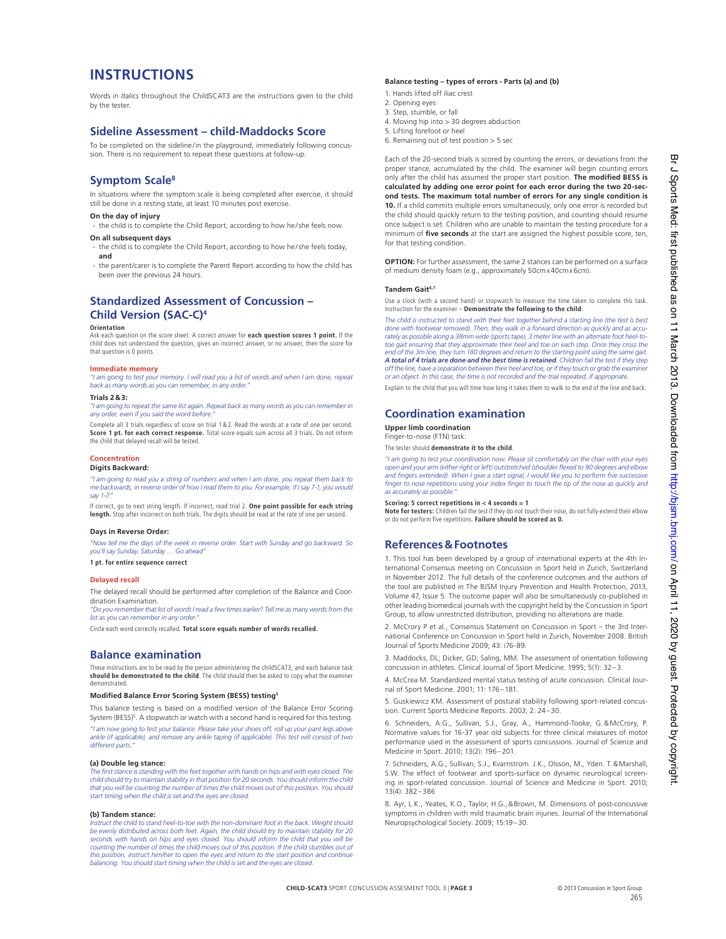# **InSTRuCTIonS**

Words in *Italics* throughout the ChildSCAt3 are the instructions given to the child by the tester.

# **Sideline Assessment – child-maddocks Score**

To be completed on the sideline/in the playground, immediately following concussion. There is no requirement to repeat these questions at follow-up.

# **Symptom Scale8**

in situations where the symptom scale is being completed after exercise, it should still be done in a resting state, at least 10 minutes post exercise.

# **on the day of injury**

the child is to complete the Child Report, according to how he/she feels now.

# **on all subsequent days**

- the child is to complete the Child Report, according to how he/she feels today, **and**
- the parent/carer is to complete the Parent Report according to how the child has been over the previous 24 hours.

# **Standardized Assessment of Concussion – Child version (SAC-C)4**

# **Orientation**

Ask each question on the score sheet. A correct answer for **each question scores 1 point.** If the child does not understand the question, gives an incorrect answer, or no answer, then the score for that question is 0 points.

# **Immediate memory**

*"I am going to test your memory. I will read you a list of words and when I am done, repeat back as many words as you can remember, in any order."*

### **Trials 2&3:**

*"I am going to repeat the same list again. Repeat back as many words as you can remember in any order, even if you said the word before."*

Complete all 3 trials regardless of score on trial 1 & 2. Read the words at a rate of one per second. **Score 1 pt. for each correct response.** Total score equals sum across all 3 trials. Do not inform the child that delayed recall will be tested.

# **Concentration**

# **Digits Backward:**

*"I am going to read you a string of numbers and when I am done, you repeat them back to me backwards, in reverse order of how I read them to you. For example, if I say 7-1, you would say 1-7."*

If correct, go to next string length. If incorrect, read trial 2. **One point possible for each string**<br>**length.** Stop after incorrect on both trials. The digits should be read at the rate of one per second.

### **Days in Reverse order:**

*"Now tell me the days of the week in reverse order. Start with Sunday and go backward. So you'll say Sunday, Saturday … Go ahead"* **1 pt. for entire sequence correct**

# **Delayed recall**

the delayed recall should be performed after completion of the Balance and Coordination Examination.

*"Do you remember that list of words I read a few times earlier? Tell me as many words from the list as you can remember in any order."*

Circle each word correctly recalled. **Total score equals number of words recalled.**

# **Balance examination**

These instructions are to be read by the person administering the childSCAT3, and each balance task **should be demonstrated to the child**. The child should then be asked to copy what the examiner demonstrated.

### **Modifed Balance Error Scoring System (BESS) testing<sup>5</sup>**

This balance testing is based on a modifed version of the Balance Error Scoring System (BESS)<sup>5</sup>. A stopwatch or watch with a second hand is required for this testing. *"I am now going to test your balance. Please take your shoes off, roll up your pant legs above* 

*ankle (if applicable), and remove any ankle taping (if applicable). This test will consist of two different parts."*

# **(a) Double leg stance:**

*The first stance is standing with the feet together with hands on hips and with eyes closed. The child should try to maintain stability in that position for 20 seconds. You should inform the child that you will be counting the number of times the child moves out of this position. You should start timing when the child is set and the eyes are closed.*

### **(b) Tandem stance:**

*Instruct the child to stand heel-to-toe with the non-dominant foot in the back. Weight should be evenly distributed across both feet. Again, the child should try to maintain stability for 20 seconds with hands on hips and eyes closed. You should inform the child that you will be counting the number of times the child moves out of this position. If the child stumbles out of this position, instruct him/her to open the eyes and return to the start position and continue balancing. You should start timing when the child is set and the eyes are closed.*

### **Balance testing – types of errors - Parts (a) and (b)**

- 1. Hands lifted off iliac crest
- 2. opening eyes
- 3. Step, stumble, or fall 4. moving hip into > 30 degrees abduction
- 5. lifting forefoot or heel
- 6. Remaining out of test position  $>$  5 sec
	-

Each of the 20-second trials is scored by counting the errors, or deviations from the proper stance, accumulated by the child. The examiner will begin counting errors only after the child has assumed the proper start position. **The modifed BESS is calculated by adding one error point for each error during the two 20-second tests. The maximum total number of errors for any single condition is 10.** if a child commits multiple errors simultaneously, only one error is recorded but the child should quickly return to the testing position, and counting should resume once subject is set. Children who are unable to maintain the testing procedure for a minimum of **fve seconds** at the start are assigned the highest possible score, ten, for that testing condition.

**OPTION:** For further assessment, the same 2 stances can be performed on a surface of medium density foam (e.g., approximately 50cmx40cmx6cm).

### **Tandem gait6,7**

Use a clock (with a second hand) or stopwatch to measure the time taken to complete this task. Instruction for the examiner – **Demonstrate the following to the child**:

*The child is instructed to stand with their feet together behind a starting line (the test is best done with footwear removed). Then, they walk in a forward direction as quickly and as accurately as possible along a 38mm wide (sports tape), 3 meter line with an alternate foot heel-totoe gait ensuring that they approximate their heel and toe on each step. Once they cross the end of the 3m line, they turn 180 degrees and return to the starting point using the same gait. A total of 4 trials are done and the best time is retained. Children fail the test if they step off the line, have a separation between their heel and toe, or if they touch or grab the examiner*<br>or an object. In this case, the time is not recorded and the trial repeated, if appropriate. Explain to the child that you will time how long it takes them to walk to the end of the line and back.

# **Coordination examination**

**upper limb coordination** Finger-to-nose (FTN) task

The tester should **demonstrate it to the child**.

*"I am going to test your coordination now. Please sit comfortably on the chair with your eyes open and your arm (either right or left) outstretched (shoulder flexed to 90 degrees and elbow and fingers extended). When I give a start signal, I would like you to perform five successive finger to nose repetitions using your index finger to touch the tip of the nose as quickly and as accurately as possible."*

### **Scoring: 5 correct repetitions in < 4 seconds = 1**

**Note for testers:** Children fail the test if they do not touch their nose, do not fully extend their elbow or do not perform five repetitions. **Failure should be scored as 0.**

# **References&Footnotes**

1. this tool has been developed by a group of international experts at the 4th international Consensus meeting on Concussion in Sport held in Zurich, Switzerland in November 2012. The full details of the conference outcomes and the authors of the tool are published in The BJSM Injury Prevention and Health Protection, 2013, Volume 47, Issue 5. The outcome paper will also be simultaneously co-published in other leading biomedical journals with the copyright held by the Concussion in Sport Group, to allow unrestricted distribution, providing no alterations are made.

2. mcCrory p et al., Consensus Statement on Concussion in Sport – the 3rd international Conference on Concussion in Sport held in Zurich, november 2008. British Journal of Sports medicine 2009; 43: i76-89.

3. Maddocks, DL; Dicker, GD; Saling, MM. The assessment of orientation following concussion in athletes. Clinical Journal of Sport medicine. 1995; 5(1): 32–3.

4. mcCrea m. Standardized mental status testing of acute concussion. Clinical Journal of Sport medicine. 2001; 11: 176–181.

5. Guskiewicz Km. Assessment of postural stability following sport-related concussion. Current Sports Medicine Reports. 2003; 2: 24-30.

6. Schneiders, A.G., Sullivan, S.J., Gray, A., Hammond-Tooke, G.& McCrory, P. Normative values for 16-37 year old subjects for three clinical measures of motor performance used in the assessment of sports concussions. Journal of Science and medicine in Sport. 2010; 13(2): 196–201.

7. Schneiders, A.G., Sullivan, S.J., Kvarnstrom. J.K., Olsson, M., Yden. T.& Marshall, S.W. The effect of footwear and sports-surface on dynamic neurological screening in sport-related concussion. Journal of Science and medicine in Sport. 2010; 13(4): 382–386

8. Ayr, l.K., Yeates, K.o., taylor, H.G.,&Brown, m. Dimensions of post-concussive symptoms in children with mild traumatic brain injuries. Journal of the international neuropsychological Society. 2009; 15:19–30.